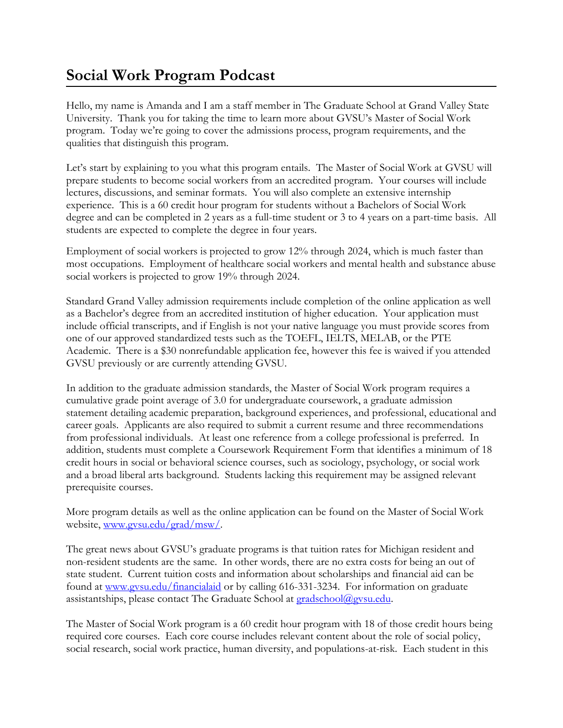## **Social Work Program Podcast**

Hello, my name is Amanda and I am a staff member in The Graduate School at Grand Valley State University. Thank you for taking the time to learn more about GVSU's Master of Social Work program. Today we're going to cover the admissions process, program requirements, and the qualities that distinguish this program.

Let's start by explaining to you what this program entails. The Master of Social Work at GVSU will prepare students to become social workers from an accredited program. Your courses will include lectures, discussions, and seminar formats. You will also complete an extensive internship experience. This is a 60 credit hour program for students without a Bachelors of Social Work degree and can be completed in 2 years as a full-time student or 3 to 4 years on a part-time basis. All students are expected to complete the degree in four years.

Employment of social workers is projected to grow 12% through 2024, which is much faster than most occupations. Employment of healthcare social workers and mental health and substance abuse social workers is projected to grow 19% through 2024.

Standard Grand Valley admission requirements include completion of the online application as well as a Bachelor's degree from an accredited institution of higher education. Your application must include official transcripts, and if English is not your native language you must provide scores from one of our approved standardized tests such as the TOEFL, IELTS, MELAB, or the PTE Academic. There is a \$30 nonrefundable application fee, however this fee is waived if you attended GVSU previously or are currently attending GVSU.

In addition to the graduate admission standards, the Master of Social Work program requires a cumulative grade point average of 3.0 for undergraduate coursework, a graduate admission statement detailing academic preparation, background experiences, and professional, educational and career goals. Applicants are also required to submit a current resume and three recommendations from professional individuals. At least one reference from a college professional is preferred. In addition, students must complete a Coursework Requirement Form that identifies a minimum of 18 credit hours in social or behavioral science courses, such as sociology, psychology, or social work and a broad liberal arts background. Students lacking this requirement may be assigned relevant prerequisite courses.

More program details as well as the online application can be found on the Master of Social Work website, www.gysu.edu/grad/msw/.

The great news about GVSU's graduate programs is that tuition rates for Michigan resident and non-resident students are the same. In other words, there are no extra costs for being an out of state student. Current tuition costs and information about scholarships and financial aid can be found at [www.gvsu.edu/financialaid](http://www.gvsu.edu/financialaid) or by calling 616-331-3234. For information on graduate assistantships, please contact The Graduate School at [gradschool@gvsu.edu.](mailto:gradschool@gvsu.edu)

The Master of Social Work program is a 60 credit hour program with 18 of those credit hours being required core courses. Each core course includes relevant content about the role of social policy, social research, social work practice, human diversity, and populations-at-risk. Each student in this